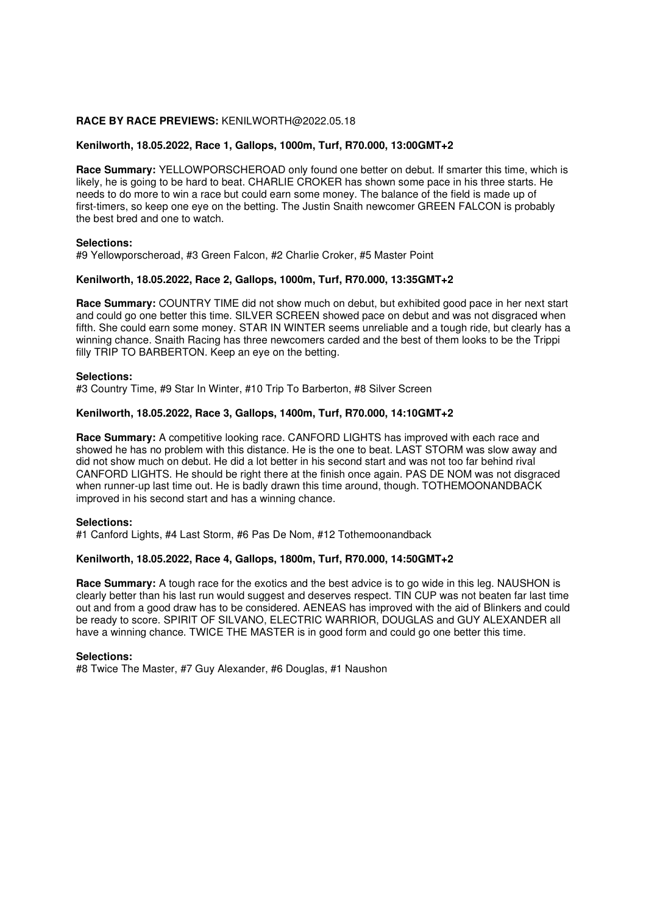## **RACE BY RACE PREVIEWS:** KENILWORTH@2022.05.18

# **Kenilworth, 18.05.2022, Race 1, Gallops, 1000m, Turf, R70.000, 13:00GMT+2**

**Race Summary:** YELLOWPORSCHEROAD only found one better on debut. If smarter this time, which is likely, he is going to be hard to beat. CHARLIE CROKER has shown some pace in his three starts. He needs to do more to win a race but could earn some money. The balance of the field is made up of first-timers, so keep one eye on the betting. The Justin Snaith newcomer GREEN FALCON is probably the best bred and one to watch.

### **Selections:**

#9 Yellowporscheroad, #3 Green Falcon, #2 Charlie Croker, #5 Master Point

## **Kenilworth, 18.05.2022, Race 2, Gallops, 1000m, Turf, R70.000, 13:35GMT+2**

**Race Summary:** COUNTRY TIME did not show much on debut, but exhibited good pace in her next start and could go one better this time. SILVER SCREEN showed pace on debut and was not disgraced when fifth. She could earn some money. STAR IN WINTER seems unreliable and a tough ride, but clearly has a winning chance. Snaith Racing has three newcomers carded and the best of them looks to be the Trippi filly TRIP TO BARBERTON. Keep an eye on the betting.

### **Selections:**

#3 Country Time, #9 Star In Winter, #10 Trip To Barberton, #8 Silver Screen

### **Kenilworth, 18.05.2022, Race 3, Gallops, 1400m, Turf, R70.000, 14:10GMT+2**

**Race Summary:** A competitive looking race. CANFORD LIGHTS has improved with each race and showed he has no problem with this distance. He is the one to beat. LAST STORM was slow away and did not show much on debut. He did a lot better in his second start and was not too far behind rival CANFORD LIGHTS. He should be right there at the finish once again. PAS DE NOM was not disgraced when runner-up last time out. He is badly drawn this time around, though. TOTHEMOONANDBACK improved in his second start and has a winning chance.

# **Selections:**

#1 Canford Lights, #4 Last Storm, #6 Pas De Nom, #12 Tothemoonandback

### **Kenilworth, 18.05.2022, Race 4, Gallops, 1800m, Turf, R70.000, 14:50GMT+2**

**Race Summary:** A tough race for the exotics and the best advice is to go wide in this leg. NAUSHON is clearly better than his last run would suggest and deserves respect. TIN CUP was not beaten far last time out and from a good draw has to be considered. AENEAS has improved with the aid of Blinkers and could be ready to score. SPIRIT OF SILVANO, ELECTRIC WARRIOR, DOUGLAS and GUY ALEXANDER all have a winning chance. TWICE THE MASTER is in good form and could go one better this time.

#### **Selections:**

#8 Twice The Master, #7 Guy Alexander, #6 Douglas, #1 Naushon